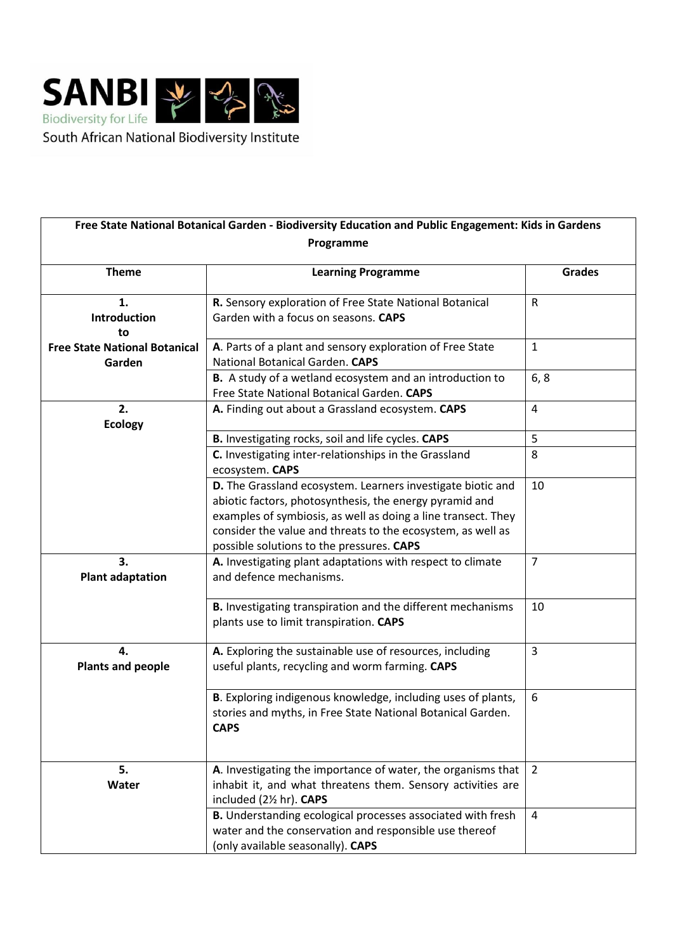

| Programme                            |                                                                                                                                                                                                                                                                                                     |                |
|--------------------------------------|-----------------------------------------------------------------------------------------------------------------------------------------------------------------------------------------------------------------------------------------------------------------------------------------------------|----------------|
| <b>Theme</b>                         | <b>Learning Programme</b>                                                                                                                                                                                                                                                                           | <b>Grades</b>  |
| 1.                                   | R. Sensory exploration of Free State National Botanical                                                                                                                                                                                                                                             | $\mathsf{R}$   |
| <b>Introduction</b>                  | Garden with a focus on seasons. CAPS                                                                                                                                                                                                                                                                |                |
| to                                   |                                                                                                                                                                                                                                                                                                     |                |
| <b>Free State National Botanical</b> | A. Parts of a plant and sensory exploration of Free State                                                                                                                                                                                                                                           | $\mathbf{1}$   |
| Garden                               | National Botanical Garden. CAPS                                                                                                                                                                                                                                                                     |                |
|                                      | B. A study of a wetland ecosystem and an introduction to                                                                                                                                                                                                                                            | 6, 8           |
|                                      | Free State National Botanical Garden. CAPS                                                                                                                                                                                                                                                          |                |
| 2.                                   | A. Finding out about a Grassland ecosystem. CAPS                                                                                                                                                                                                                                                    | $\overline{4}$ |
| <b>Ecology</b>                       |                                                                                                                                                                                                                                                                                                     |                |
|                                      | B. Investigating rocks, soil and life cycles. CAPS                                                                                                                                                                                                                                                  | 5              |
|                                      | C. Investigating inter-relationships in the Grassland<br>ecosystem. CAPS                                                                                                                                                                                                                            | 8              |
|                                      | D. The Grassland ecosystem. Learners investigate biotic and<br>abiotic factors, photosynthesis, the energy pyramid and<br>examples of symbiosis, as well as doing a line transect. They<br>consider the value and threats to the ecosystem, as well as<br>possible solutions to the pressures. CAPS | 10             |
| 3.<br><b>Plant adaptation</b>        | A. Investigating plant adaptations with respect to climate<br>and defence mechanisms.                                                                                                                                                                                                               | $\overline{7}$ |
|                                      | B. Investigating transpiration and the different mechanisms<br>plants use to limit transpiration. CAPS                                                                                                                                                                                              | 10             |
| 4.<br><b>Plants and people</b>       | A. Exploring the sustainable use of resources, including<br>useful plants, recycling and worm farming. CAPS                                                                                                                                                                                         | 3              |
|                                      | B. Exploring indigenous knowledge, including uses of plants,<br>stories and myths, in Free State National Botanical Garden.<br><b>CAPS</b>                                                                                                                                                          | 6              |
| 5.                                   | A. Investigating the importance of water, the organisms that                                                                                                                                                                                                                                        | $\overline{2}$ |
| Water                                | inhabit it, and what threatens them. Sensory activities are<br>included (21/2 hr). CAPS                                                                                                                                                                                                             |                |
|                                      | B. Understanding ecological processes associated with fresh<br>water and the conservation and responsible use thereof<br>(only available seasonally). CAPS                                                                                                                                          | $\overline{4}$ |